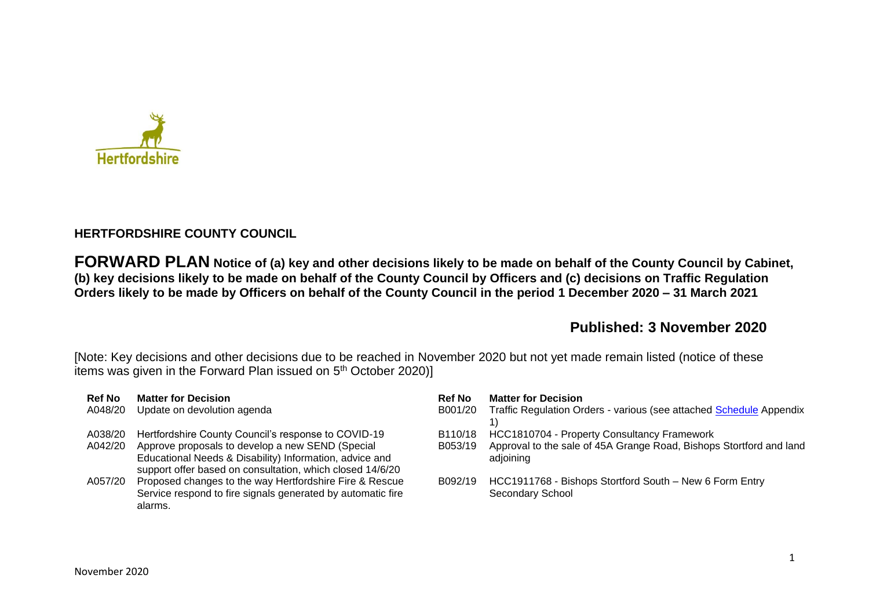

## **HERTFORDSHIRE COUNTY COUNCIL**

**FORWARD PLAN Notice of (a) key and other decisions likely to be made on behalf of the County Council by Cabinet, (b) key decisions likely to be made on behalf of the County Council by Officers and (c) decisions on Traffic Regulation Orders likely to be made by Officers on behalf of the County Council in the period 1 December 2020 – 31 March 2021** 

## **Published: 3 November 2020**

[Note: Key decisions and other decisions due to be reached in November 2020 but not yet made remain listed (notice of these items was given in the Forward Plan issued on 5<sup>th</sup> October 2020)]

| <b>Ref No</b> | <b>Matter for Decision</b>                                                                                                                                               | <b>Ref No</b> | <b>Matter for Decision</b>                                                       |
|---------------|--------------------------------------------------------------------------------------------------------------------------------------------------------------------------|---------------|----------------------------------------------------------------------------------|
| A048/20       | Update on devolution agenda                                                                                                                                              | B001/20       | Traffic Regulation Orders - various (see attached Schedule Appendix              |
| A038/20       | Hertfordshire County Council's response to COVID-19                                                                                                                      | B110/18       | HCC1810704 - Property Consultancy Framework                                      |
| A042/20       | Approve proposals to develop a new SEND (Special<br>Educational Needs & Disability) Information, advice and<br>support offer based on consultation, which closed 14/6/20 | B053/19       | Approval to the sale of 45A Grange Road, Bishops Stortford and land<br>adjoining |
| A057/20       | Proposed changes to the way Hertfordshire Fire & Rescue<br>Service respond to fire signals generated by automatic fire<br>alarms.                                        | B092/19       | HCC1911768 - Bishops Stortford South - New 6 Form Entry<br>Secondary School      |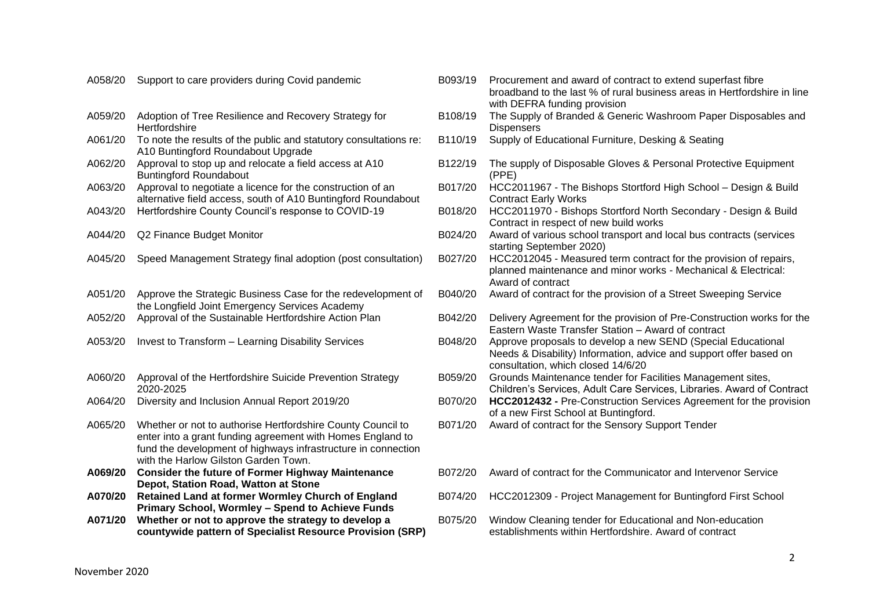| A058/20 | Support to care providers during Covid pandemic                                                                                                                                                                                    |
|---------|------------------------------------------------------------------------------------------------------------------------------------------------------------------------------------------------------------------------------------|
| A059/20 | Adoption of Tree Resilience and Recovery Strategy for<br>Hertfordshire                                                                                                                                                             |
| A061/20 | To note the results of the public and statutory consultations re:<br>A10 Buntingford Roundabout Upgrade                                                                                                                            |
| A062/20 | Approval to stop up and relocate a field access at A10<br><b>Buntingford Roundabout</b>                                                                                                                                            |
| A063/20 | Approval to negotiate a licence for the construction of an<br>alternative field access, south of A10 Buntingford Roundabout                                                                                                        |
| A043/20 | Hertfordshire County Council's response to COVID-19                                                                                                                                                                                |
| A044/20 | Q2 Finance Budget Monitor                                                                                                                                                                                                          |
| A045/20 | Speed Management Strategy final adoption (post consultation)                                                                                                                                                                       |
| A051/20 | Approve the Strategic Business Case for the redevelopment of<br>the Longfield Joint Emergency Services Academy                                                                                                                     |
| A052/20 | Approval of the Sustainable Hertfordshire Action Plan                                                                                                                                                                              |
| A053/20 | <b>Invest to Transform - Learning Disability Services</b>                                                                                                                                                                          |
| A060/20 | Approval of the Hertfordshire Suicide Prevention Strategy<br>2020-2025                                                                                                                                                             |
| A064/20 | Diversity and Inclusion Annual Report 2019/20                                                                                                                                                                                      |
| A065/20 | Whether or not to authorise Hertfordshire County Council to<br>enter into a grant funding agreement with Homes England to<br>fund the development of highways infrastructure in connection<br>with the Harlow Gilston Garden Town. |
| A069/20 | <b>Consider the future of Former Highway Maintenance</b><br>Depot, Station Road, Watton at Stone                                                                                                                                   |
| A070/20 | Retained Land at former Wormley Church of England<br>Primary School, Wormley - Spend to Achieve Funds                                                                                                                              |
| A071/20 | Whether or not to approve the strategy to develop a<br>countywide pattern of Specialist Resource Provision (SRP)                                                                                                                   |

| A058/20 | Support to care providers during Covid pandemic                                                                                                                                                                                    | B093/19 | Procurement and award of contract to extend superfast fibre<br>broadband to the last % of rural business areas in Hertfordshire in line<br>with DEFRA funding provision  |
|---------|------------------------------------------------------------------------------------------------------------------------------------------------------------------------------------------------------------------------------------|---------|--------------------------------------------------------------------------------------------------------------------------------------------------------------------------|
| A059/20 | Adoption of Tree Resilience and Recovery Strategy for<br>Hertfordshire                                                                                                                                                             | B108/19 | The Supply of Branded & Generic Washroom Paper Disposables and<br><b>Dispensers</b>                                                                                      |
| A061/20 | To note the results of the public and statutory consultations re:<br>A10 Buntingford Roundabout Upgrade                                                                                                                            | B110/19 | Supply of Educational Furniture, Desking & Seating                                                                                                                       |
| A062/20 | Approval to stop up and relocate a field access at A10<br><b>Buntingford Roundabout</b>                                                                                                                                            | B122/19 | The supply of Disposable Gloves & Personal Protective Equipment<br>(PPE)                                                                                                 |
| A063/20 | Approval to negotiate a licence for the construction of an<br>alternative field access, south of A10 Buntingford Roundabout                                                                                                        | B017/20 | HCC2011967 - The Bishops Stortford High School - Design & Build<br><b>Contract Early Works</b>                                                                           |
| A043/20 | Hertfordshire County Council's response to COVID-19                                                                                                                                                                                | B018/20 | HCC2011970 - Bishops Stortford North Secondary - Design & Build<br>Contract in respect of new build works                                                                |
| A044/20 | Q2 Finance Budget Monitor                                                                                                                                                                                                          | B024/20 | Award of various school transport and local bus contracts (services<br>starting September 2020)                                                                          |
| A045/20 | Speed Management Strategy final adoption (post consultation)                                                                                                                                                                       | B027/20 | HCC2012045 - Measured term contract for the provision of repairs,<br>planned maintenance and minor works - Mechanical & Electrical:<br>Award of contract                 |
| A051/20 | Approve the Strategic Business Case for the redevelopment of<br>the Longfield Joint Emergency Services Academy                                                                                                                     | B040/20 | Award of contract for the provision of a Street Sweeping Service                                                                                                         |
| A052/20 | Approval of the Sustainable Hertfordshire Action Plan                                                                                                                                                                              | B042/20 | Delivery Agreement for the provision of Pre-Construction works for the<br>Eastern Waste Transfer Station - Award of contract                                             |
| A053/20 | Invest to Transform - Learning Disability Services                                                                                                                                                                                 | B048/20 | Approve proposals to develop a new SEND (Special Educational<br>Needs & Disability) Information, advice and support offer based on<br>consultation, which closed 14/6/20 |
| A060/20 | Approval of the Hertfordshire Suicide Prevention Strategy<br>2020-2025                                                                                                                                                             | B059/20 | Grounds Maintenance tender for Facilities Management sites,<br>Children's Services, Adult Care Services, Libraries. Award of Contract                                    |
| A064/20 | Diversity and Inclusion Annual Report 2019/20                                                                                                                                                                                      | B070/20 | HCC2012432 - Pre-Construction Services Agreement for the provision<br>of a new First School at Buntingford.                                                              |
| A065/20 | Whether or not to authorise Hertfordshire County Council to<br>enter into a grant funding agreement with Homes England to<br>fund the development of highways infrastructure in connection<br>with the Harlow Gilston Garden Town. | B071/20 | Award of contract for the Sensory Support Tender                                                                                                                         |
| A069/20 | <b>Consider the future of Former Highway Maintenance</b><br>Depot, Station Road, Watton at Stone                                                                                                                                   | B072/20 | Award of contract for the Communicator and Intervenor Service                                                                                                            |
| A070/20 | Retained Land at former Wormley Church of England<br>Primary School, Wormley - Spend to Achieve Funds                                                                                                                              | B074/20 | HCC2012309 - Project Management for Buntingford First School                                                                                                             |
| A071/20 | Whether or not to approve the strategy to develop a                                                                                                                                                                                | B075/20 | Window Cleaning tender for Educational and Non-education                                                                                                                 |

establishments within Hertfordshire. Award of contract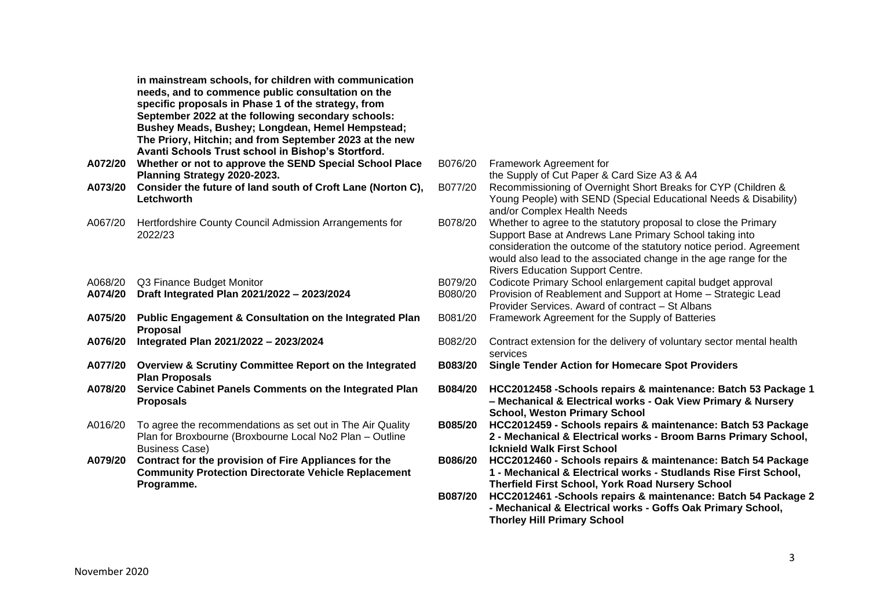**in mainstream schools, for children with communication needs, and to commence public consultation on the specific proposals in Phase 1 of the strategy, from September 2022 at the following secondary schools: Bushey Meads, Bushey; Longdean, Hemel Hempstead; The Priory, Hitchin; and from September 2023 at the new Avanti Schools Trust school in Bishop's Stortford.**

- **A072/20 Whether or not to approve the SEND Special School Place Planning Strategy 2020-2023.**
- A073/20 Consider the future of land south of Croft Lane (Norton **Letchworth**
- A067/20 Hertfordshire County Council Admission Arrangements for 2022/23
- A068/20 Q3 Finance Budget Monitor
- **A074/20** Draft Integrated Plan 2021/2022 2023/2024
- **A075/20 Public Engagement & Consultation on the Integrated Plan Proposal**
- **A076/20** Integrated Plan 2021/2022 2023/2024
- **A077/20 Overview & Scrutiny Committee Report on the Integrated Plan Proposals**
- **A078/20 Service Cabinet Panels Comments on the Integrated Plan Proposals**
- A016/20 To agree the recommendations as set out in The Air Quality Plan for Broxbourne (Broxbourne Local No2 Plan – Outline Business Case)
- **A079/20 Contract for the provision of Fire Appliances for the Community Protection Directorate Vehicle Replacement Programme.**

| V   |                    |                                                                                                                                                                                                                                                                                                                   |
|-----|--------------------|-------------------------------------------------------------------------------------------------------------------------------------------------------------------------------------------------------------------------------------------------------------------------------------------------------------------|
| ce  | B076/20            | Framework Agreement for<br>the Supply of Cut Paper & Card Size A3 & A4                                                                                                                                                                                                                                            |
| C), | B077/20            | Recommissioning of Overnight Short Breaks for CYP (Children &<br>Young People) with SEND (Special Educational Needs & Disability)<br>and/or Complex Health Needs                                                                                                                                                  |
|     | B078/20            | Whether to agree to the statutory proposal to close the Primary<br>Support Base at Andrews Lane Primary School taking into<br>consideration the outcome of the statutory notice period. Agreement<br>would also lead to the associated change in the age range for the<br><b>Rivers Education Support Centre.</b> |
|     | B079/20<br>B080/20 | Codicote Primary School enlargement capital budget approval<br>Provision of Reablement and Support at Home - Strategic Lead<br>Provider Services. Award of contract - St Albans                                                                                                                                   |
| эn  | B081/20            | Framework Agreement for the Supply of Batteries                                                                                                                                                                                                                                                                   |
|     | B082/20            | Contract extension for the delivery of voluntary sector mental health<br>services                                                                                                                                                                                                                                 |
| d   | B083/20            | <b>Single Tender Action for Homecare Spot Providers</b>                                                                                                                                                                                                                                                           |
| ın  | <b>B084/20</b>     | HCC2012458 - Schools repairs & maintenance: Batch 53 Package 1<br>- Mechanical & Electrical works - Oak View Primary & Nursery<br><b>School, Weston Primary School</b>                                                                                                                                            |
|     | B085/20            | HCC2012459 - Schools repairs & maintenance: Batch 53 Package<br>2 - Mechanical & Electrical works - Broom Barns Primary School,<br><b>Icknield Walk First School</b>                                                                                                                                              |
|     | B086/20            | HCC2012460 - Schools repairs & maintenance: Batch 54 Package<br>1 - Mechanical & Electrical works - Studlands Rise First School,<br><b>Therfield First School, York Road Nursery School</b>                                                                                                                       |
|     | B087/20            | HCC2012461 - Schools repairs & maintenance: Batch 54 Package 2<br>- Mechanical & Electrical works - Goffs Oak Primary School,<br><b>Thorley Hill Primary School</b>                                                                                                                                               |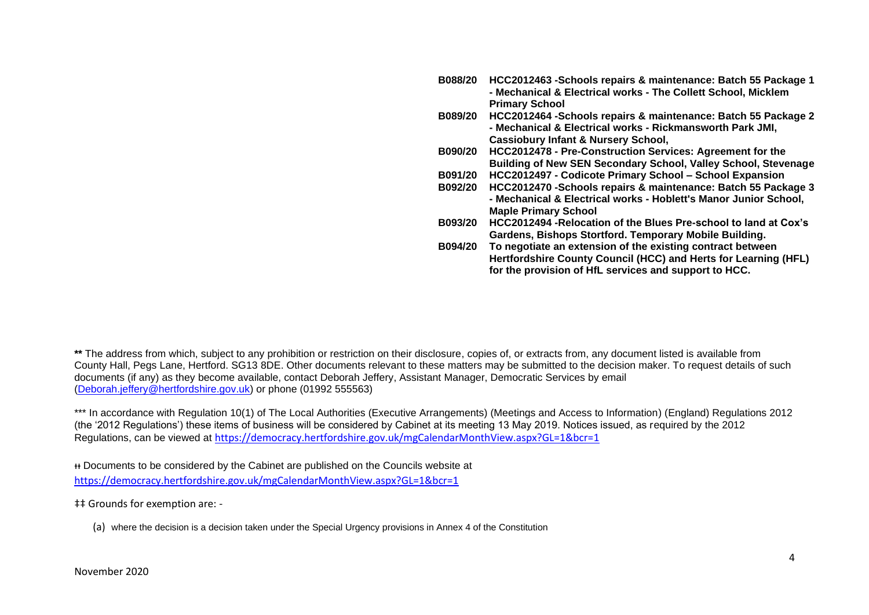- **B088/20 HCC2012463 -Schools repairs & maintenance: Batch 55 Package 1 - Mechanical & Electrical works - The Collett School, Micklem Primary School**
- **B089/20 HCC2012464 -Schools repairs & maintenance: Batch 55 Package 2 - Mechanical & Electrical works - Rickmansworth Park JMI, Cassiobury Infant & Nursery School,**
- **B090/20 HCC2012478 - Pre-Construction Services: Agreement for the Building of New SEN Secondary School, Valley School, Stevenage**
- **B091/20 HCC2012497 - Codicote Primary School – School Expansion**
- **B092/20 HCC2012470 -Schools repairs & maintenance: Batch 55 Package 3 - Mechanical & Electrical works - Hoblett's Manor Junior School, Maple Primary School**
- **B093/20 HCC2012494 -Relocation of the Blues Pre-school to land at Cox's Gardens, Bishops Stortford. Temporary Mobile Building.**
- **B094/20 To negotiate an extension of the existing contract between Hertfordshire County Council (HCC) and Herts for Learning (HFL) for the provision of HfL services and support to HCC.**

**\*\*** The address from which, subject to any prohibition or restriction on their disclosure, copies of, or extracts from, any document listed is available from County Hall, Pegs Lane, Hertford. SG13 8DE. Other documents relevant to these matters may be submitted to the decision maker. To request details of such documents (if any) as they become available, contact Deborah Jeffery, Assistant Manager, Democratic Services by email [\(Deborah.jeffery@hertfordshire.gov.uk\)](mailto:Deborah.jeffery@hertfordshire.gov.uk) or phone (01992 555563)

\*\*\* In accordance with Regulation 10(1) of The Local Authorities (Executive Arrangements) (Meetings and Access to Information) (England) Regulations 2012 (the '2012 Regulations') these items of business will be considered by Cabinet at its meeting 13 May 2019. Notices issued, as required by the 2012 Regulations, can be viewed at <https://democracy.hertfordshire.gov.uk/mgCalendarMonthView.aspx?GL=1&bcr=1>

ᵻᵻ Documents to be considered by the Cabinet are published on the Councils website at <https://democracy.hertfordshire.gov.uk/mgCalendarMonthView.aspx?GL=1&bcr=1>

‡‡ Grounds for exemption are: -

(a) where the decision is a decision taken under the Special Urgency provisions in Annex 4 of the Constitution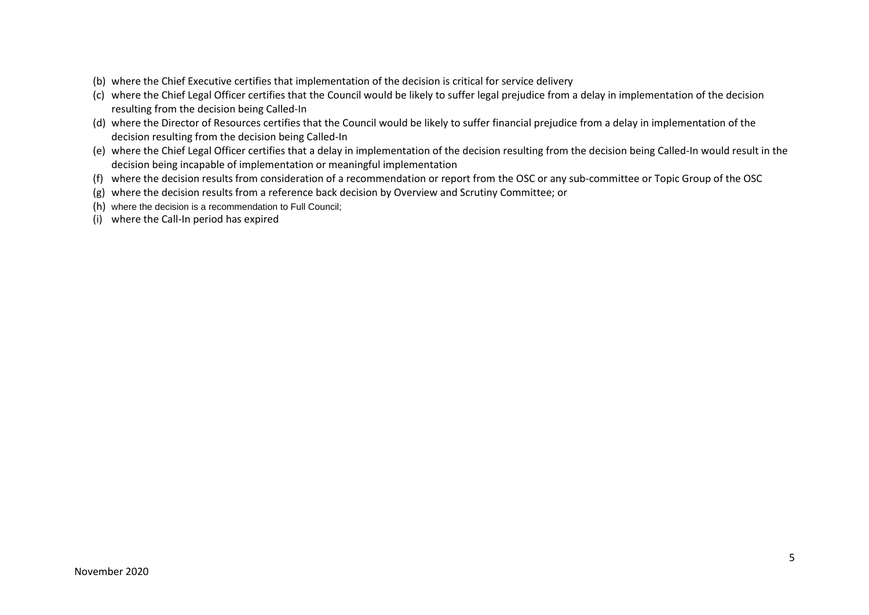- (b) where the Chief Executive certifies that implementation of the decision is critical for service delivery
- (c) where the Chief Legal Officer certifies that the Council would be likely to suffer legal prejudice from a delay in implementation of the decision resulting from the decision being Called-In
- (d) where the Director of Resources certifies that the Council would be likely to suffer financial prejudice from a delay in implementation of the decision resulting from the decision being Called-In
- (e) where the Chief Legal Officer certifies that a delay in implementation of the decision resulting from the decision being Called-In would result in the decision being incapable of implementation or meaningful implementation
- (f) where the decision results from consideration of a recommendation or report from the OSC or any sub-committee or Topic Group of the OSC
- (g) where the decision results from a reference back decision by Overview and Scrutiny Committee; or
- (h) where the decision is a recommendation to Full Council;
- (i) where the Call-In period has expired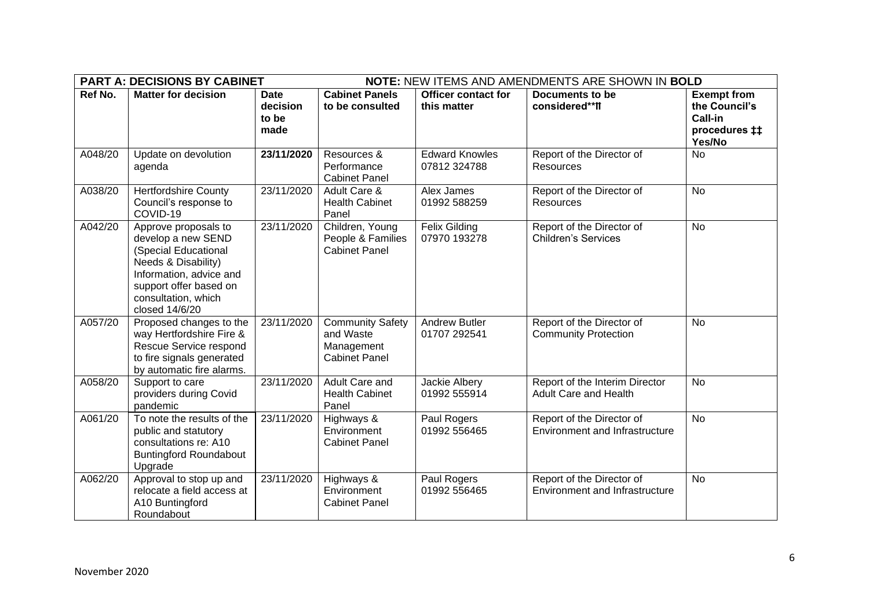| <b>PART A: DECISIONS BY CABINET</b> |                                                                                                                                                                                         |                                          | NOTE: NEW ITEMS AND AMENDMENTS ARE SHOWN IN BOLD                           |                                           |                                                                    |                                                                           |
|-------------------------------------|-----------------------------------------------------------------------------------------------------------------------------------------------------------------------------------------|------------------------------------------|----------------------------------------------------------------------------|-------------------------------------------|--------------------------------------------------------------------|---------------------------------------------------------------------------|
| Ref No.                             | <b>Matter for decision</b>                                                                                                                                                              | <b>Date</b><br>decision<br>to be<br>made | <b>Cabinet Panels</b><br>to be consulted                                   | <b>Officer contact for</b><br>this matter | <b>Documents to be</b><br>considered**ff                           | <b>Exempt from</b><br>the Council's<br>Call-in<br>procedures ‡‡<br>Yes/No |
| A048/20                             | Update on devolution<br>agenda                                                                                                                                                          | 23/11/2020                               | Resources &<br>Performance<br><b>Cabinet Panel</b>                         | <b>Edward Knowles</b><br>07812 324788     | Report of the Director of<br>Resources                             | <b>No</b>                                                                 |
| A038/20                             | <b>Hertfordshire County</b><br>Council's response to<br>COVID-19                                                                                                                        | 23/11/2020                               | Adult Care &<br><b>Health Cabinet</b><br>Panel                             | Alex James<br>01992 588259                | Report of the Director of<br><b>Resources</b>                      | <b>No</b>                                                                 |
| A042/20                             | Approve proposals to<br>develop a new SEND<br>(Special Educational<br>Needs & Disability)<br>Information, advice and<br>support offer based on<br>consultation, which<br>closed 14/6/20 | 23/11/2020                               | Children, Young<br>People & Families<br><b>Cabinet Panel</b>               | <b>Felix Gilding</b><br>07970 193278      | Report of the Director of<br><b>Children's Services</b>            | <b>No</b>                                                                 |
| A057/20                             | Proposed changes to the<br>way Hertfordshire Fire &<br>Rescue Service respond<br>to fire signals generated<br>by automatic fire alarms.                                                 | 23/11/2020                               | <b>Community Safety</b><br>and Waste<br>Management<br><b>Cabinet Panel</b> | <b>Andrew Butler</b><br>01707 292541      | Report of the Director of<br><b>Community Protection</b>           | <b>No</b>                                                                 |
| A058/20                             | Support to care<br>providers during Covid<br>pandemic                                                                                                                                   | 23/11/2020                               | <b>Adult Care and</b><br><b>Health Cabinet</b><br>Panel                    | Jackie Albery<br>01992 555914             | Report of the Interim Director<br><b>Adult Care and Health</b>     | <b>No</b>                                                                 |
| A061/20                             | To note the results of the<br>public and statutory<br>consultations re: A10<br><b>Buntingford Roundabout</b><br>Upgrade                                                                 | 23/11/2020                               | Highways &<br>Environment<br><b>Cabinet Panel</b>                          | Paul Rogers<br>01992 556465               | Report of the Director of<br><b>Environment and Infrastructure</b> | <b>No</b>                                                                 |
| A062/20                             | Approval to stop up and<br>relocate a field access at<br>A10 Buntingford<br>Roundabout                                                                                                  | 23/11/2020                               | Highways &<br>Environment<br><b>Cabinet Panel</b>                          | Paul Rogers<br>01992 556465               | Report of the Director of<br><b>Environment and Infrastructure</b> | <b>No</b>                                                                 |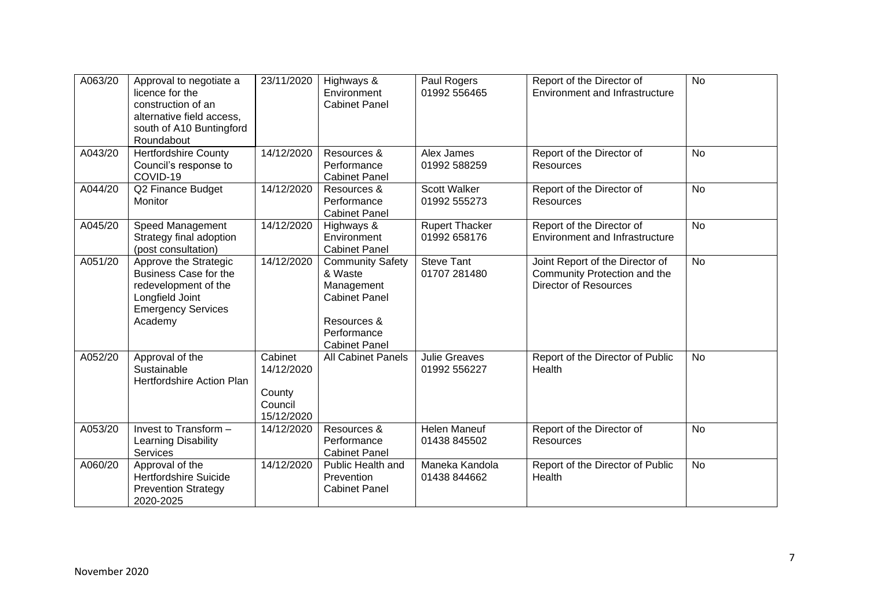| A063/20 | Approval to negotiate a<br>licence for the<br>construction of an<br>alternative field access,<br>south of A10 Buntingford<br>Roundabout  | 23/11/2020                                               | Highways &<br>Environment<br><b>Cabinet Panel</b>                                                                              | Paul Rogers<br>01992 556465           | Report of the Director of<br><b>Environment and Infrastructure</b>                              | <b>No</b> |
|---------|------------------------------------------------------------------------------------------------------------------------------------------|----------------------------------------------------------|--------------------------------------------------------------------------------------------------------------------------------|---------------------------------------|-------------------------------------------------------------------------------------------------|-----------|
| A043/20 | <b>Hertfordshire County</b><br>Council's response to<br>COVID-19                                                                         | 14/12/2020                                               | Resources &<br>Performance<br><b>Cabinet Panel</b>                                                                             | Alex James<br>01992 588259            | Report of the Director of<br><b>Resources</b>                                                   | <b>No</b> |
| A044/20 | Q2 Finance Budget<br>Monitor                                                                                                             | 14/12/2020                                               | Resources &<br>Performance<br><b>Cabinet Panel</b>                                                                             | Scott Walker<br>01992 555273          | Report of the Director of<br><b>Resources</b>                                                   | <b>No</b> |
| A045/20 | Speed Management<br>Strategy final adoption<br>(post consultation)                                                                       | 14/12/2020                                               | Highways &<br>Environment<br><b>Cabinet Panel</b>                                                                              | <b>Rupert Thacker</b><br>01992 658176 | Report of the Director of<br>Environment and Infrastructure                                     | <b>No</b> |
| A051/20 | Approve the Strategic<br><b>Business Case for the</b><br>redevelopment of the<br>Longfield Joint<br><b>Emergency Services</b><br>Academy | 14/12/2020                                               | <b>Community Safety</b><br>& Waste<br>Management<br><b>Cabinet Panel</b><br>Resources &<br>Performance<br><b>Cabinet Panel</b> | <b>Steve Tant</b><br>01707 281480     | Joint Report of the Director of<br>Community Protection and the<br><b>Director of Resources</b> | <b>No</b> |
| A052/20 | Approval of the<br>Sustainable<br>Hertfordshire Action Plan                                                                              | Cabinet<br>14/12/2020<br>County<br>Council<br>15/12/2020 | <b>All Cabinet Panels</b>                                                                                                      | <b>Julie Greaves</b><br>01992 556227  | Report of the Director of Public<br>Health                                                      | <b>No</b> |
| A053/20 | Invest to Transform -<br>Learning Disability<br><b>Services</b>                                                                          | 14/12/2020                                               | Resources &<br>Performance<br><b>Cabinet Panel</b>                                                                             | <b>Helen Maneuf</b><br>01438 845502   | Report of the Director of<br>Resources                                                          | <b>No</b> |
| A060/20 | Approval of the<br><b>Hertfordshire Suicide</b><br><b>Prevention Strategy</b><br>2020-2025                                               | 14/12/2020                                               | Public Health and<br>Prevention<br><b>Cabinet Panel</b>                                                                        | Maneka Kandola<br>01438 844662        | Report of the Director of Public<br>Health                                                      | <b>No</b> |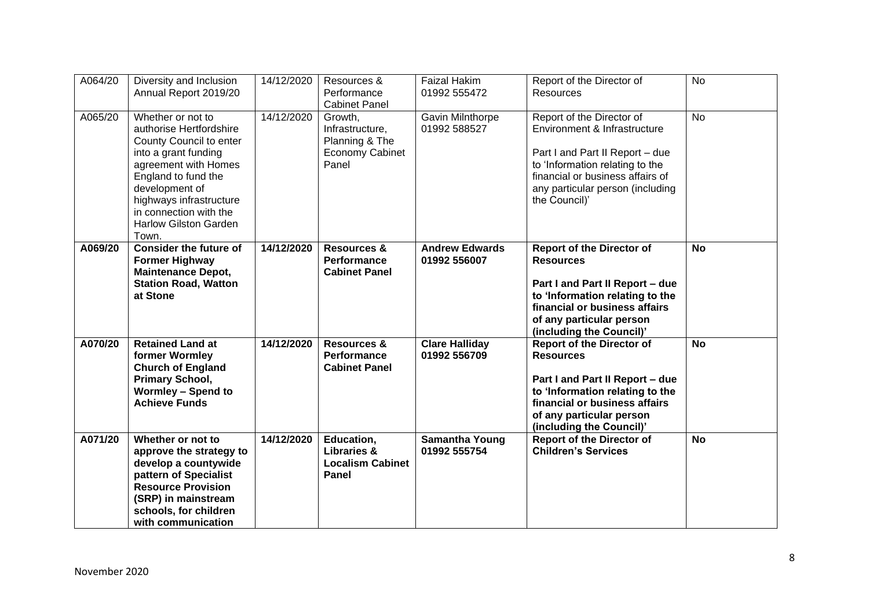| A064/20 | Diversity and Inclusion<br>Annual Report 2019/20                                                                                                                                                                                                               | 14/12/2020 | Resources &<br>Performance<br><b>Cabinet Panel</b>                       | <b>Faizal Hakim</b><br>01992 555472   | Report of the Director of<br>Resources                                                                                                                                                                                   | <b>No</b> |
|---------|----------------------------------------------------------------------------------------------------------------------------------------------------------------------------------------------------------------------------------------------------------------|------------|--------------------------------------------------------------------------|---------------------------------------|--------------------------------------------------------------------------------------------------------------------------------------------------------------------------------------------------------------------------|-----------|
| A065/20 | Whether or not to<br>authorise Hertfordshire<br>County Council to enter<br>into a grant funding<br>agreement with Homes<br>England to fund the<br>development of<br>highways infrastructure<br>in connection with the<br><b>Harlow Gilston Garden</b><br>Town. | 14/12/2020 | Growth,<br>Infrastructure,<br>Planning & The<br>Economy Cabinet<br>Panel | Gavin Milnthorpe<br>01992 588527      | Report of the Director of<br>Environment & Infrastructure<br>Part I and Part II Report - due<br>to 'Information relating to the<br>financial or business affairs of<br>any particular person (including<br>the Council)' | <b>No</b> |
| A069/20 | <b>Consider the future of</b><br><b>Former Highway</b><br><b>Maintenance Depot,</b><br><b>Station Road, Watton</b><br>at Stone                                                                                                                                 | 14/12/2020 | <b>Resources &amp;</b><br><b>Performance</b><br><b>Cabinet Panel</b>     | <b>Andrew Edwards</b><br>01992 556007 | <b>Report of the Director of</b><br><b>Resources</b><br>Part I and Part II Report - due<br>to 'Information relating to the<br>financial or business affairs<br>of any particular person<br>(including the Council)'      | <b>No</b> |
| A070/20 | <b>Retained Land at</b><br>former Wormley<br><b>Church of England</b><br>Primary School,<br><b>Wormley - Spend to</b><br><b>Achieve Funds</b>                                                                                                                  | 14/12/2020 | <b>Resources &amp;</b><br><b>Performance</b><br><b>Cabinet Panel</b>     | <b>Clare Halliday</b><br>01992 556709 | <b>Report of the Director of</b><br><b>Resources</b><br>Part I and Part II Report - due<br>to 'Information relating to the<br>financial or business affairs<br>of any particular person<br>(including the Council)'      | <b>No</b> |
| A071/20 | Whether or not to<br>approve the strategy to<br>develop a countywide<br>pattern of Specialist<br><b>Resource Provision</b><br>(SRP) in mainstream<br>schools, for children<br>with communication                                                               | 14/12/2020 | Education,<br><b>Libraries &amp;</b><br><b>Localism Cabinet</b><br>Panel | <b>Samantha Young</b><br>01992 555754 | <b>Report of the Director of</b><br><b>Children's Services</b>                                                                                                                                                           | <b>No</b> |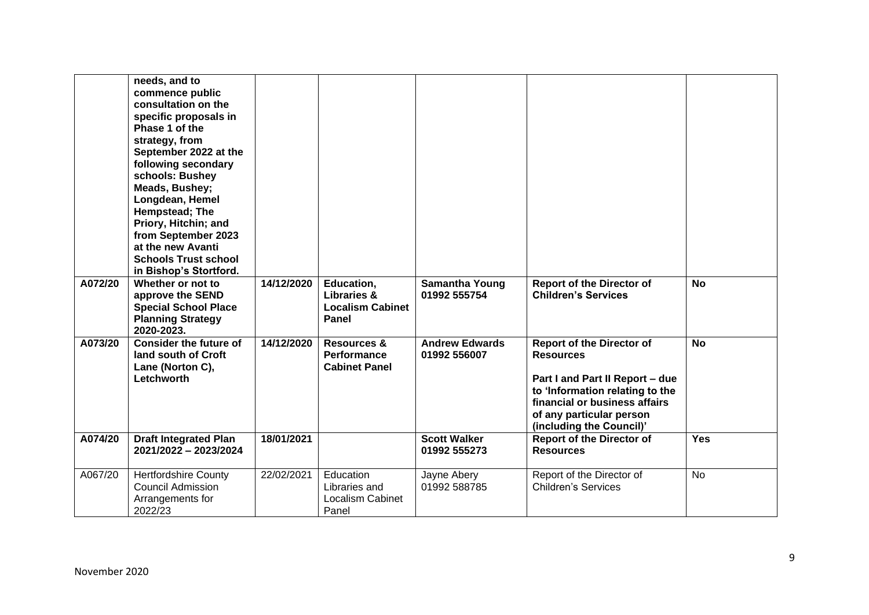|         | needs, and to<br>commence public<br>consultation on the<br>specific proposals in<br>Phase 1 of the<br>strategy, from<br>September 2022 at the<br>following secondary<br>schools: Bushey<br>Meads, Bushey;<br>Longdean, Hemel<br>Hempstead; The<br>Priory, Hitchin; and<br>from September 2023<br>at the new Avanti<br><b>Schools Trust school</b><br>in Bishop's Stortford. |            |                                                                      |                                       |                                                                                                                                                                                                                     |            |
|---------|-----------------------------------------------------------------------------------------------------------------------------------------------------------------------------------------------------------------------------------------------------------------------------------------------------------------------------------------------------------------------------|------------|----------------------------------------------------------------------|---------------------------------------|---------------------------------------------------------------------------------------------------------------------------------------------------------------------------------------------------------------------|------------|
| A072/20 | Whether or not to<br>approve the SEND<br><b>Special School Place</b><br><b>Planning Strategy</b><br>2020-2023.                                                                                                                                                                                                                                                              | 14/12/2020 | Education,<br>Libraries &<br><b>Localism Cabinet</b><br>Panel        | <b>Samantha Young</b><br>01992 555754 | <b>Report of the Director of</b><br><b>Children's Services</b>                                                                                                                                                      | <b>No</b>  |
| A073/20 | <b>Consider the future of</b><br>land south of Croft<br>Lane (Norton C),<br>Letchworth                                                                                                                                                                                                                                                                                      | 14/12/2020 | <b>Resources &amp;</b><br><b>Performance</b><br><b>Cabinet Panel</b> | <b>Andrew Edwards</b><br>01992 556007 | <b>Report of the Director of</b><br><b>Resources</b><br>Part I and Part II Report - due<br>to 'Information relating to the<br>financial or business affairs<br>of any particular person<br>(including the Council)' | <b>No</b>  |
| A074/20 | <b>Draft Integrated Plan</b><br>2021/2022 - 2023/2024                                                                                                                                                                                                                                                                                                                       | 18/01/2021 |                                                                      | <b>Scott Walker</b><br>01992 555273   | <b>Report of the Director of</b><br><b>Resources</b>                                                                                                                                                                | <b>Yes</b> |
| A067/20 | <b>Hertfordshire County</b><br><b>Council Admission</b><br>Arrangements for<br>2022/23                                                                                                                                                                                                                                                                                      | 22/02/2021 | Education<br>Libraries and<br>Localism Cabinet<br>Panel              | Jayne Abery<br>01992 588785           | Report of the Director of<br><b>Children's Services</b>                                                                                                                                                             | No         |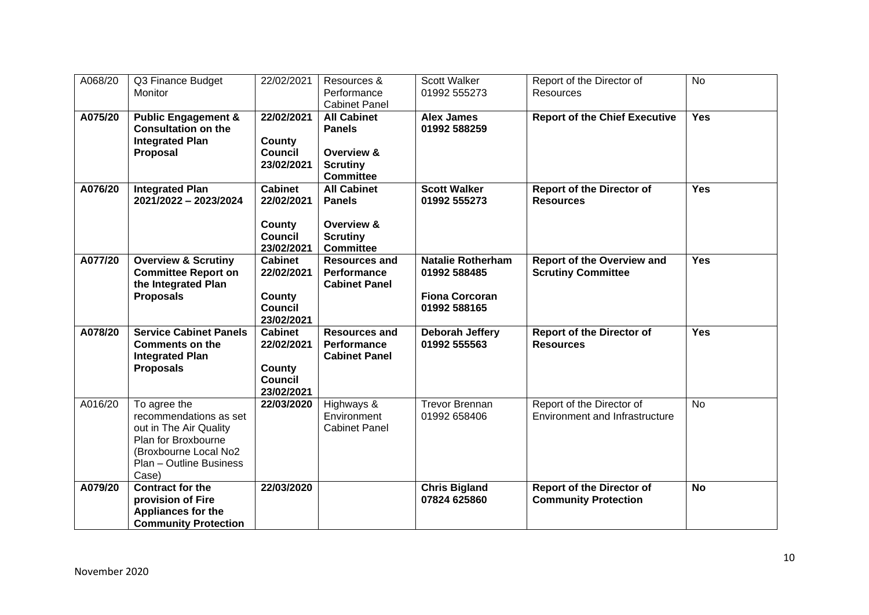| A068/20 | Q3 Finance Budget<br>Monitor                                                                                                                         | 22/02/2021                                                             | Resources &<br>Performance<br><b>Cabinet Panel</b>                                       | Scott Walker<br>01992 555273                                                      | Report of the Director of<br>Resources                             | <b>No</b>  |
|---------|------------------------------------------------------------------------------------------------------------------------------------------------------|------------------------------------------------------------------------|------------------------------------------------------------------------------------------|-----------------------------------------------------------------------------------|--------------------------------------------------------------------|------------|
| A075/20 | <b>Public Engagement &amp;</b><br><b>Consultation on the</b><br><b>Integrated Plan</b><br>Proposal                                                   | 22/02/2021<br>County<br><b>Council</b><br>23/02/2021                   | <b>All Cabinet</b><br><b>Panels</b><br>Overview &<br><b>Scrutiny</b><br><b>Committee</b> | <b>Alex James</b><br>01992 588259                                                 | <b>Report of the Chief Executive</b>                               | <b>Yes</b> |
| A076/20 | <b>Integrated Plan</b><br>2021/2022 - 2023/2024                                                                                                      | <b>Cabinet</b><br>22/02/2021<br>County<br><b>Council</b><br>23/02/2021 | <b>All Cabinet</b><br><b>Panels</b><br>Overview &<br><b>Scrutiny</b><br><b>Committee</b> | <b>Scott Walker</b><br>01992 555273                                               | <b>Report of the Director of</b><br><b>Resources</b>               | <b>Yes</b> |
| A077/20 | <b>Overview &amp; Scrutiny</b><br><b>Committee Report on</b><br>the Integrated Plan<br><b>Proposals</b>                                              | <b>Cabinet</b><br>22/02/2021<br>County<br><b>Council</b><br>23/02/2021 | <b>Resources and</b><br><b>Performance</b><br><b>Cabinet Panel</b>                       | <b>Natalie Rotherham</b><br>01992 588485<br><b>Fiona Corcoran</b><br>01992 588165 | <b>Report of the Overview and</b><br><b>Scrutiny Committee</b>     | <b>Yes</b> |
| A078/20 | <b>Service Cabinet Panels</b><br><b>Comments on the</b><br><b>Integrated Plan</b><br><b>Proposals</b>                                                | <b>Cabinet</b><br>22/02/2021<br>County<br><b>Council</b><br>23/02/2021 | <b>Resources and</b><br><b>Performance</b><br><b>Cabinet Panel</b>                       | Deborah Jeffery<br>01992 555563                                                   | <b>Report of the Director of</b><br><b>Resources</b>               | <b>Yes</b> |
| A016/20 | To agree the<br>recommendations as set<br>out in The Air Quality<br>Plan for Broxbourne<br>(Broxbourne Local No2<br>Plan - Outline Business<br>Case) | 22/03/2020                                                             | Highways &<br>Environment<br><b>Cabinet Panel</b>                                        | <b>Trevor Brennan</b><br>01992 658406                                             | Report of the Director of<br><b>Environment and Infrastructure</b> | <b>No</b>  |
| A079/20 | <b>Contract for the</b><br>provision of Fire<br>Appliances for the<br><b>Community Protection</b>                                                    | 22/03/2020                                                             |                                                                                          | <b>Chris Bigland</b><br>07824 625860                                              | <b>Report of the Director of</b><br><b>Community Protection</b>    | <b>No</b>  |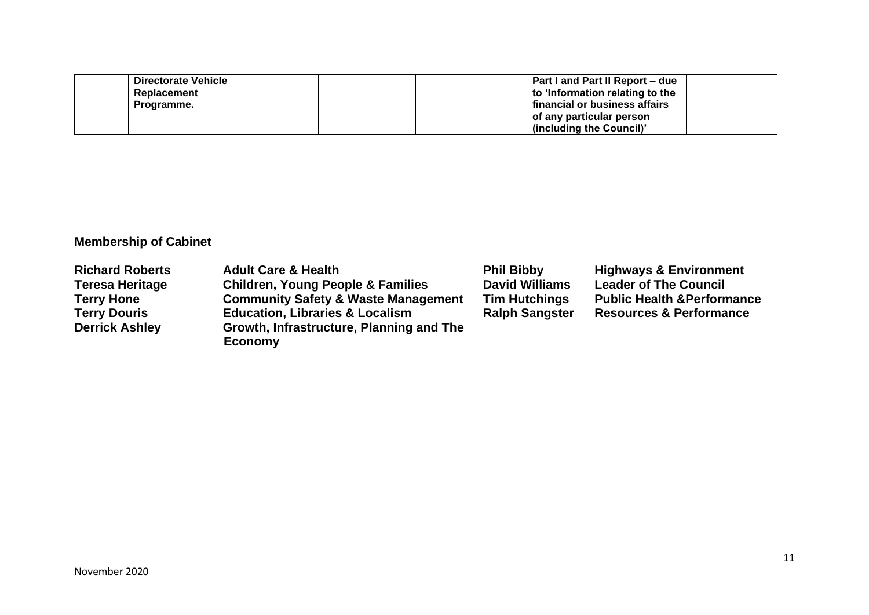| Directorate Vehicle | Part I and Part II Report – due |
|---------------------|---------------------------------|
| Replacement         | to 'Information relating to the |
| Programme.          | financial or business affairs   |
|                     | of any particular person        |
|                     | (including the Council)         |

# **Membership of Cabinet**

| <b>Richard Roberts</b> | <b>Adult Care &amp; Health</b>                 | <b>Phil Bibby</b>     | <b>Highways &amp; Environment</b>      |
|------------------------|------------------------------------------------|-----------------------|----------------------------------------|
| <b>Teresa Heritage</b> | <b>Children, Young People &amp; Families</b>   | <b>David Williams</b> | <b>Leader of The Council</b>           |
| <b>Terry Hone</b>      | <b>Community Safety &amp; Waste Management</b> | <b>Tim Hutchings</b>  | <b>Public Health &amp; Performance</b> |
| <b>Terry Douris</b>    | <b>Education, Libraries &amp; Localism</b>     | <b>Ralph Sangster</b> | <b>Resources &amp; Performance</b>     |
| <b>Derrick Ashley</b>  | Growth, Infrastructure, Planning and The       |                       |                                        |
|                        | <b>Economy</b>                                 |                       |                                        |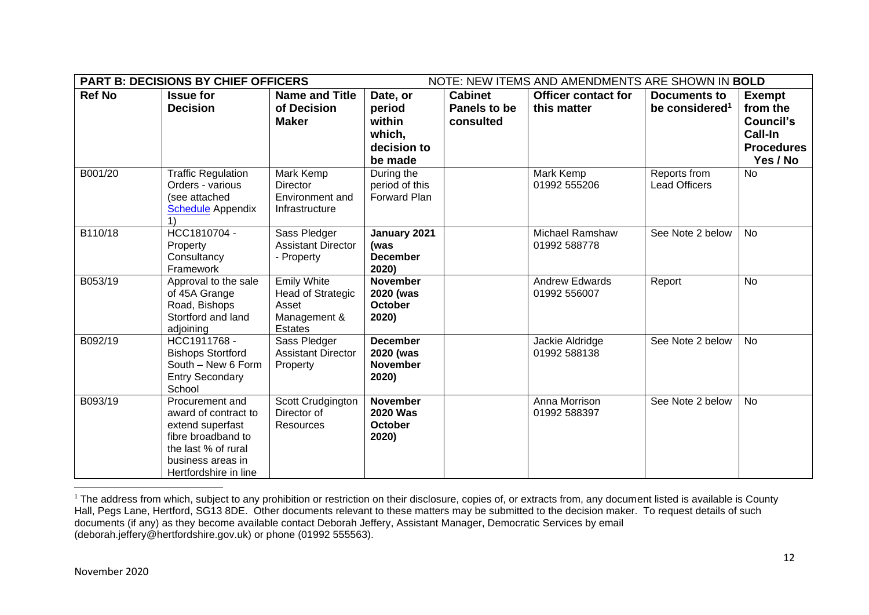|               | <b>PART B: DECISIONS BY CHIEF OFFICERS</b><br>NOTE: NEW ITEMS AND AMENDMENTS ARE SHOWN IN BOLD |                                   |                      |                |                            |                            |                   |
|---------------|------------------------------------------------------------------------------------------------|-----------------------------------|----------------------|----------------|----------------------------|----------------------------|-------------------|
| <b>Ref No</b> | <b>Issue for</b>                                                                               | <b>Name and Title</b>             | Date, or             | <b>Cabinet</b> | <b>Officer contact for</b> | Documents to               | <b>Exempt</b>     |
|               | <b>Decision</b>                                                                                | of Decision                       | period               | Panels to be   | this matter                | be considered <sup>1</sup> | from the          |
|               |                                                                                                | <b>Maker</b>                      | within               | consulted      |                            |                            | Council's         |
|               |                                                                                                |                                   | which,               |                |                            |                            | <b>Call-In</b>    |
|               |                                                                                                |                                   | decision to          |                |                            |                            | <b>Procedures</b> |
|               |                                                                                                |                                   | be made              |                |                            |                            | Yes / No          |
| B001/20       | <b>Traffic Regulation</b>                                                                      | Mark Kemp                         | During the           |                | Mark Kemp                  | Reports from               | No                |
|               | Orders - various                                                                               | <b>Director</b>                   | period of this       |                | 01992 555206               | <b>Lead Officers</b>       |                   |
|               | (see attached<br><b>Schedule</b> Appendix                                                      | Environment and<br>Infrastructure | Forward Plan         |                |                            |                            |                   |
|               |                                                                                                |                                   |                      |                |                            |                            |                   |
| B110/18       | HCC1810704 -                                                                                   | Sass Pledger                      | January 2021         |                | Michael Ramshaw            | See Note 2 below           | <b>No</b>         |
|               | Property                                                                                       | <b>Assistant Director</b>         | (was                 |                | 01992 588778               |                            |                   |
|               | Consultancy                                                                                    | - Property                        | <b>December</b>      |                |                            |                            |                   |
|               | Framework                                                                                      |                                   | 2020)                |                |                            |                            |                   |
| B053/19       | Approval to the sale                                                                           | <b>Emily White</b>                | <b>November</b>      |                | <b>Andrew Edwards</b>      | Report                     | <b>No</b>         |
|               | of 45A Grange<br>Road, Bishops                                                                 | Head of Strategic<br>Asset        | 2020 (was<br>October |                | 01992 556007               |                            |                   |
|               | Stortford and land                                                                             | Management &                      | 2020)                |                |                            |                            |                   |
|               | adjoining                                                                                      | <b>Estates</b>                    |                      |                |                            |                            |                   |
| B092/19       | HCC1911768 -                                                                                   | Sass Pledger                      | <b>December</b>      |                | Jackie Aldridge            | See Note 2 below           | <b>No</b>         |
|               | <b>Bishops Stortford</b>                                                                       | <b>Assistant Director</b>         | 2020 (was            |                | 01992 588138               |                            |                   |
|               | South - New 6 Form                                                                             | Property                          | <b>November</b>      |                |                            |                            |                   |
|               | <b>Entry Secondary</b><br>School                                                               |                                   | 2020)                |                |                            |                            |                   |
| B093/19       | Procurement and                                                                                | Scott Crudgington                 | <b>November</b>      |                | Anna Morrison              | See Note 2 below           | <b>No</b>         |
|               | award of contract to                                                                           | Director of                       | <b>2020 Was</b>      |                | 01992 588397               |                            |                   |
|               | extend superfast                                                                               | <b>Resources</b>                  | October              |                |                            |                            |                   |
|               | fibre broadband to                                                                             |                                   | 2020)                |                |                            |                            |                   |
|               | the last % of rural                                                                            |                                   |                      |                |                            |                            |                   |
|               | business areas in                                                                              |                                   |                      |                |                            |                            |                   |
|               | Hertfordshire in line                                                                          |                                   |                      |                |                            |                            |                   |

<sup>&</sup>lt;sup>1</sup> The address from which, subject to any prohibition or restriction on their disclosure, copies of, or extracts from, any document listed is available is County Hall, Pegs Lane, Hertford, SG13 8DE. Other documents relevant to these matters may be submitted to the decision maker. To request details of such documents (if any) as they become available contact Deborah Jeffery, Assistant Manager, Democratic Services by email (deborah.jeffery@hertfordshire.gov.uk) or phone (01992 555563).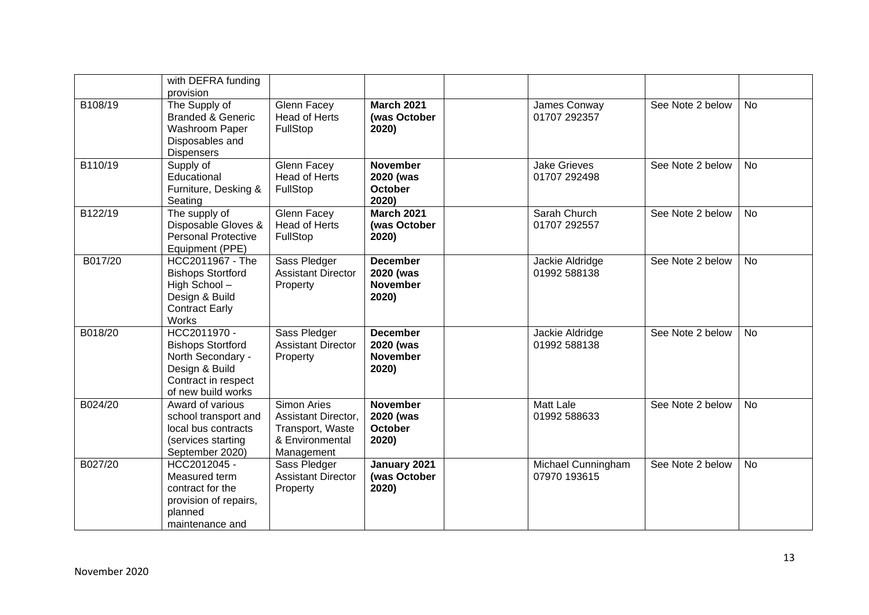|         | with DEFRA funding<br>provision                                                                                              |                                                                                                |                                                          |                                     |                  |           |
|---------|------------------------------------------------------------------------------------------------------------------------------|------------------------------------------------------------------------------------------------|----------------------------------------------------------|-------------------------------------|------------------|-----------|
| B108/19 | The Supply of<br><b>Branded &amp; Generic</b><br>Washroom Paper<br>Disposables and<br><b>Dispensers</b>                      | Glenn Facey<br><b>Head of Herts</b><br>FullStop                                                | <b>March 2021</b><br>(was October<br>2020)               | James Conway<br>01707 292357        | See Note 2 below | <b>No</b> |
| B110/19 | Supply of<br>Educational<br>Furniture, Desking &<br>Seating                                                                  | Glenn Facey<br><b>Head of Herts</b><br>FullStop                                                | <b>November</b><br>2020 (was<br><b>October</b><br>2020)  | <b>Jake Grieves</b><br>01707 292498 | See Note 2 below | <b>No</b> |
| B122/19 | The supply of<br>Disposable Gloves &<br><b>Personal Protective</b><br>Equipment (PPE)                                        | <b>Glenn Facey</b><br><b>Head of Herts</b><br>FullStop                                         | <b>March 2021</b><br>(was October<br>2020)               | Sarah Church<br>01707 292557        | See Note 2 below | <b>No</b> |
| B017/20 | HCC2011967 - The<br><b>Bishops Stortford</b><br>High School-<br>Design & Build<br><b>Contract Early</b><br><b>Works</b>      | Sass Pledger<br><b>Assistant Director</b><br>Property                                          | <b>December</b><br>2020 (was<br><b>November</b><br>2020) | Jackie Aldridge<br>01992 588138     | See Note 2 below | <b>No</b> |
| B018/20 | HCC2011970 -<br><b>Bishops Stortford</b><br>North Secondary -<br>Design & Build<br>Contract in respect<br>of new build works | Sass Pledger<br><b>Assistant Director</b><br>Property                                          | <b>December</b><br>2020 (was<br><b>November</b><br>2020) | Jackie Aldridge<br>01992 588138     | See Note 2 below | <b>No</b> |
| B024/20 | Award of various<br>school transport and<br>local bus contracts<br>(services starting<br>September 2020)                     | <b>Simon Aries</b><br>Assistant Director,<br>Transport, Waste<br>& Environmental<br>Management | <b>November</b><br>2020 (was<br><b>October</b><br>2020)  | <b>Matt Lale</b><br>01992 588633    | See Note 2 below | <b>No</b> |
| B027/20 | HCC2012045 -<br>Measured term<br>contract for the<br>provision of repairs,<br>planned<br>maintenance and                     | Sass Pledger<br><b>Assistant Director</b><br>Property                                          | January 2021<br>(was October<br>2020)                    | Michael Cunningham<br>07970 193615  | See Note 2 below | <b>No</b> |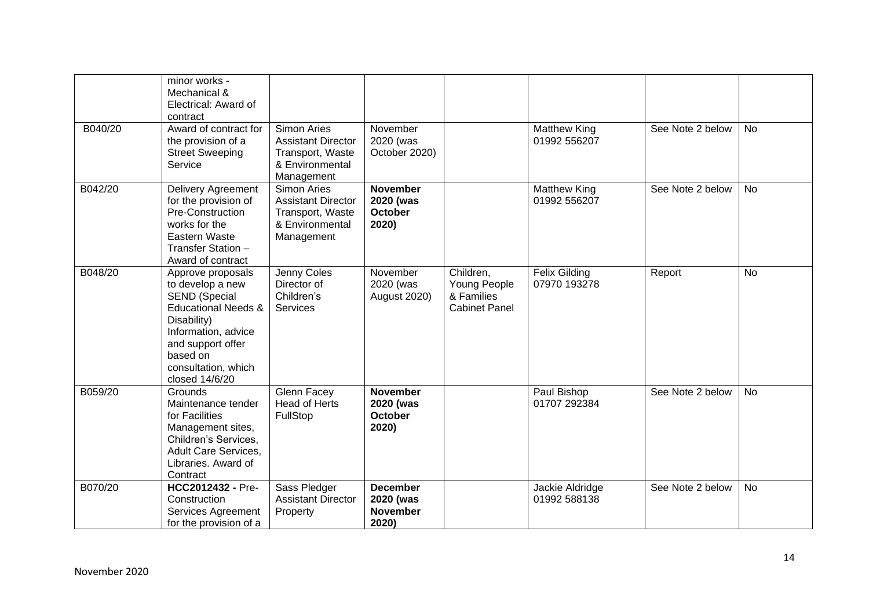|         | minor works -<br>Mechanical &<br>Electrical: Award of<br>contract                                                                                                                                               |                                                                                                      |                                                          |                                                                 |                                      |                  |           |
|---------|-----------------------------------------------------------------------------------------------------------------------------------------------------------------------------------------------------------------|------------------------------------------------------------------------------------------------------|----------------------------------------------------------|-----------------------------------------------------------------|--------------------------------------|------------------|-----------|
| B040/20 | Award of contract for<br>the provision of a<br><b>Street Sweeping</b><br>Service                                                                                                                                | <b>Simon Aries</b><br><b>Assistant Director</b><br>Transport, Waste<br>& Environmental<br>Management | November<br>2020 (was<br>October 2020)                   |                                                                 | <b>Matthew King</b><br>01992 556207  | See Note 2 below | <b>No</b> |
| B042/20 | Delivery Agreement<br>for the provision of<br>Pre-Construction<br>works for the<br>Eastern Waste<br>Transfer Station -<br>Award of contract                                                                     | <b>Simon Aries</b><br><b>Assistant Director</b><br>Transport, Waste<br>& Environmental<br>Management | <b>November</b><br>2020 (was<br><b>October</b><br>2020)  |                                                                 | <b>Matthew King</b><br>01992 556207  | See Note 2 below | <b>No</b> |
| B048/20 | Approve proposals<br>to develop a new<br><b>SEND (Special</b><br><b>Educational Needs &amp;</b><br>Disability)<br>Information, advice<br>and support offer<br>based on<br>consultation, which<br>closed 14/6/20 | Jenny Coles<br>Director of<br>Children's<br>Services                                                 | November<br>2020 (was<br>August 2020)                    | Children,<br>Young People<br>& Families<br><b>Cabinet Panel</b> | <b>Felix Gilding</b><br>07970 193278 | Report           | <b>No</b> |
| B059/20 | Grounds<br>Maintenance tender<br>for Facilities<br>Management sites,<br>Children's Services,<br>Adult Care Services,<br>Libraries. Award of<br>Contract                                                         | Glenn Facey<br><b>Head of Herts</b><br>FullStop                                                      | <b>November</b><br>2020 (was<br><b>October</b><br>2020)  |                                                                 | Paul Bishop<br>01707 292384          | See Note 2 below | <b>No</b> |
| B070/20 | HCC2012432 - Pre-<br>Construction<br>Services Agreement<br>for the provision of a                                                                                                                               | Sass Pledger<br><b>Assistant Director</b><br>Property                                                | <b>December</b><br>2020 (was<br><b>November</b><br>2020) |                                                                 | Jackie Aldridge<br>01992 588138      | See Note 2 below | <b>No</b> |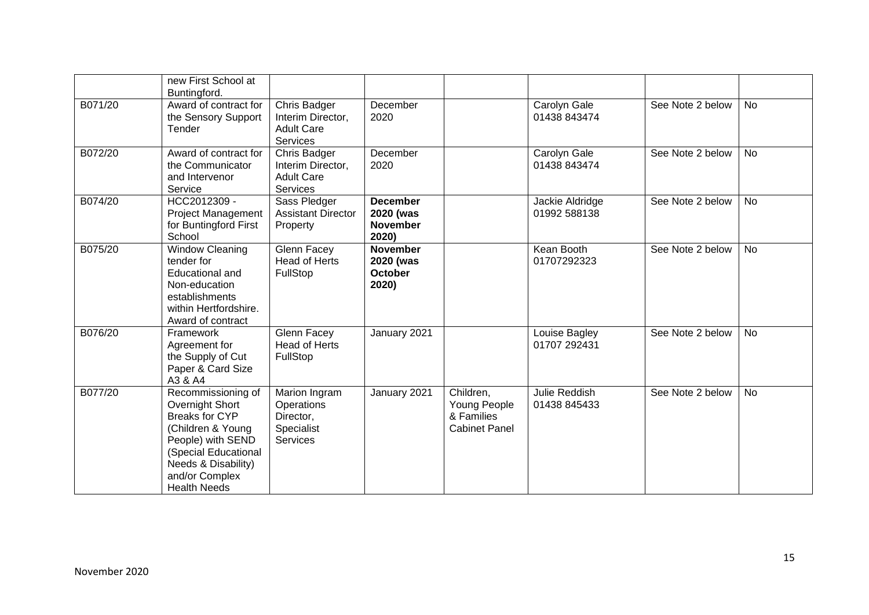|         | new First School at<br>Buntingford.                                                                                                                                                       |                                                                                  |                                                          |                                                                 |                                 |                  |           |
|---------|-------------------------------------------------------------------------------------------------------------------------------------------------------------------------------------------|----------------------------------------------------------------------------------|----------------------------------------------------------|-----------------------------------------------------------------|---------------------------------|------------------|-----------|
| B071/20 | Award of contract for<br>the Sensory Support<br>Tender                                                                                                                                    | Chris Badger<br>Interim Director,<br><b>Adult Care</b><br><b>Services</b>        | December<br>2020                                         |                                                                 | Carolyn Gale<br>01438 843474    | See Note 2 below | <b>No</b> |
| B072/20 | Award of contract for<br>the Communicator<br>and Intervenor<br>Service                                                                                                                    | <b>Chris Badger</b><br>Interim Director,<br><b>Adult Care</b><br><b>Services</b> | December<br>2020                                         |                                                                 | Carolyn Gale<br>01438 843474    | See Note 2 below | <b>No</b> |
| B074/20 | HCC2012309 -<br><b>Project Management</b><br>for Buntingford First<br>School                                                                                                              | Sass Pledger<br><b>Assistant Director</b><br>Property                            | <b>December</b><br>2020 (was<br><b>November</b><br>2020) |                                                                 | Jackie Aldridge<br>01992 588138 | See Note 2 below | <b>No</b> |
| B075/20 | <b>Window Cleaning</b><br>tender for<br><b>Educational and</b><br>Non-education<br>establishments<br>within Hertfordshire.<br>Award of contract                                           | Glenn Facey<br><b>Head of Herts</b><br>FullStop                                  | <b>November</b><br>2020 (was<br><b>October</b><br>2020)  |                                                                 | Kean Booth<br>01707292323       | See Note 2 below | No        |
| B076/20 | Framework<br>Agreement for<br>the Supply of Cut<br>Paper & Card Size<br>A3 & A4                                                                                                           | Glenn Facey<br><b>Head of Herts</b><br>FullStop                                  | January 2021                                             |                                                                 | Louise Bagley<br>01707 292431   | See Note 2 below | <b>No</b> |
| B077/20 | Recommissioning of<br>Overnight Short<br>Breaks for CYP<br>(Children & Young<br>People) with SEND<br>(Special Educational<br>Needs & Disability)<br>and/or Complex<br><b>Health Needs</b> | Marion Ingram<br>Operations<br>Director,<br>Specialist<br><b>Services</b>        | January 2021                                             | Children,<br>Young People<br>& Families<br><b>Cabinet Panel</b> | Julie Reddish<br>01438 845433   | See Note 2 below | <b>No</b> |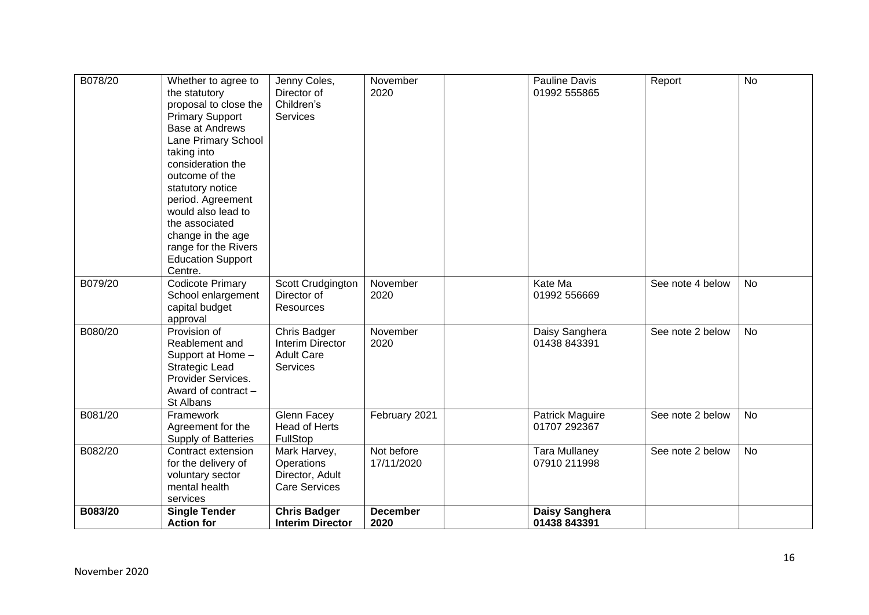| B078/20 | Whether to agree to<br>the statutory<br>proposal to close the<br><b>Primary Support</b><br><b>Base at Andrews</b><br>Lane Primary School<br>taking into<br>consideration the<br>outcome of the<br>statutory notice<br>period. Agreement<br>would also lead to<br>the associated<br>change in the age<br>range for the Rivers<br><b>Education Support</b><br>Centre. | Jenny Coles,<br>Director of<br>Children's<br>Services                    | November<br>2020         | Pauline Davis<br>01992 555865        | Report           | $\overline{N}$ |
|---------|---------------------------------------------------------------------------------------------------------------------------------------------------------------------------------------------------------------------------------------------------------------------------------------------------------------------------------------------------------------------|--------------------------------------------------------------------------|--------------------------|--------------------------------------|------------------|----------------|
| B079/20 | <b>Codicote Primary</b><br>School enlargement<br>capital budget<br>approval                                                                                                                                                                                                                                                                                         | Scott Crudgington<br>Director of<br>Resources                            | November<br>2020         | Kate Ma<br>01992 556669              | See note 4 below | <b>No</b>      |
| B080/20 | Provision of<br>Reablement and<br>Support at Home -<br><b>Strategic Lead</b><br>Provider Services.<br>Award of contract -<br>St Albans                                                                                                                                                                                                                              | Chris Badger<br><b>Interim Director</b><br><b>Adult Care</b><br>Services | November<br>2020         | Daisy Sanghera<br>01438 843391       | See note 2 below | <b>No</b>      |
| B081/20 | Framework<br>Agreement for the<br><b>Supply of Batteries</b>                                                                                                                                                                                                                                                                                                        | Glenn Facey<br><b>Head of Herts</b><br>FullStop                          | February 2021            | Patrick Maguire<br>01707 292367      | See note 2 below | <b>No</b>      |
| B082/20 | Contract extension<br>for the delivery of<br>voluntary sector<br>mental health<br>services                                                                                                                                                                                                                                                                          | Mark Harvey,<br>Operations<br>Director, Adult<br><b>Care Services</b>    | Not before<br>17/11/2020 | <b>Tara Mullaney</b><br>07910 211998 | See note 2 below | <b>No</b>      |
| B083/20 | <b>Single Tender</b><br><b>Action for</b>                                                                                                                                                                                                                                                                                                                           | <b>Chris Badger</b><br><b>Interim Director</b>                           | <b>December</b><br>2020  | Daisy Sanghera<br>01438 843391       |                  |                |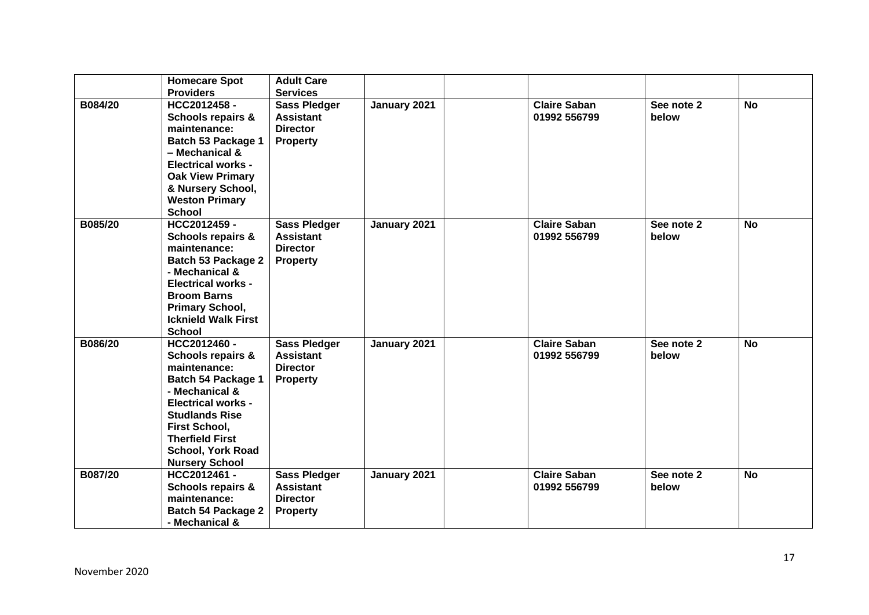|         | <b>Homecare Spot</b>                         | <b>Adult Care</b>                       |              |                     |            |           |
|---------|----------------------------------------------|-----------------------------------------|--------------|---------------------|------------|-----------|
|         | <b>Providers</b>                             | <b>Services</b>                         |              |                     |            |           |
| B084/20 | HCC2012458-                                  | <b>Sass Pledger</b>                     | January 2021 | <b>Claire Saban</b> | See note 2 | <b>No</b> |
|         | Schools repairs &                            | <b>Assistant</b>                        |              | 01992 556799        | below      |           |
|         | maintenance:                                 | <b>Director</b>                         |              |                     |            |           |
|         | Batch 53 Package 1                           | <b>Property</b>                         |              |                     |            |           |
|         | - Mechanical &                               |                                         |              |                     |            |           |
|         | <b>Electrical works -</b>                    |                                         |              |                     |            |           |
|         | <b>Oak View Primary</b>                      |                                         |              |                     |            |           |
|         | & Nursery School,                            |                                         |              |                     |            |           |
|         | <b>Weston Primary</b>                        |                                         |              |                     |            |           |
|         | <b>School</b>                                |                                         |              |                     |            |           |
| B085/20 | HCC2012459 -                                 | <b>Sass Pledger</b>                     | January 2021 | <b>Claire Saban</b> | See note 2 | <b>No</b> |
|         | <b>Schools repairs &amp;</b>                 | <b>Assistant</b>                        |              | 01992 556799        | below      |           |
|         | maintenance:                                 | <b>Director</b>                         |              |                     |            |           |
|         | <b>Batch 53 Package 2</b>                    | <b>Property</b>                         |              |                     |            |           |
|         | - Mechanical &                               |                                         |              |                     |            |           |
|         | <b>Electrical works -</b>                    |                                         |              |                     |            |           |
|         | <b>Broom Barns</b>                           |                                         |              |                     |            |           |
|         | <b>Primary School,</b>                       |                                         |              |                     |            |           |
|         | <b>Icknield Walk First</b><br><b>School</b>  |                                         |              |                     |            |           |
| B086/20 | HCC2012460 -                                 |                                         |              | <b>Claire Saban</b> | See note 2 | <b>No</b> |
|         |                                              | <b>Sass Pledger</b><br><b>Assistant</b> | January 2021 | 01992 556799        | below      |           |
|         | <b>Schools repairs &amp;</b><br>maintenance: | <b>Director</b>                         |              |                     |            |           |
|         | <b>Batch 54 Package 1</b>                    | <b>Property</b>                         |              |                     |            |           |
|         | - Mechanical &                               |                                         |              |                     |            |           |
|         | <b>Electrical works -</b>                    |                                         |              |                     |            |           |
|         | <b>Studlands Rise</b>                        |                                         |              |                     |            |           |
|         | <b>First School,</b>                         |                                         |              |                     |            |           |
|         | <b>Therfield First</b>                       |                                         |              |                     |            |           |
|         | <b>School, York Road</b>                     |                                         |              |                     |            |           |
|         | <b>Nursery School</b>                        |                                         |              |                     |            |           |
| B087/20 | HCC2012461 -                                 | <b>Sass Pledger</b>                     | January 2021 | <b>Claire Saban</b> | See note 2 | <b>No</b> |
|         | <b>Schools repairs &amp;</b>                 | <b>Assistant</b>                        |              | 01992 556799        | below      |           |
|         | maintenance:                                 | <b>Director</b>                         |              |                     |            |           |
|         | <b>Batch 54 Package 2</b>                    | <b>Property</b>                         |              |                     |            |           |
|         | - Mechanical &                               |                                         |              |                     |            |           |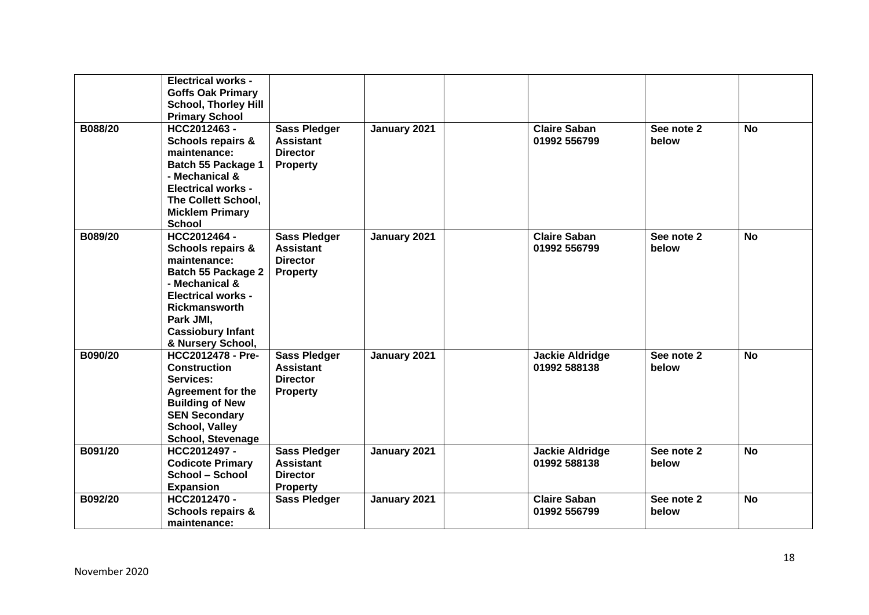|         | <b>Electrical works -</b><br><b>Goffs Oak Primary</b><br><b>School, Thorley Hill</b><br><b>Primary School</b>                                                                                                                  |                                                                               |              |                                        |                     |           |
|---------|--------------------------------------------------------------------------------------------------------------------------------------------------------------------------------------------------------------------------------|-------------------------------------------------------------------------------|--------------|----------------------------------------|---------------------|-----------|
| B088/20 | HCC2012463-<br><b>Schools repairs &amp;</b><br>maintenance:<br>Batch 55 Package 1<br>- Mechanical &<br><b>Electrical works -</b><br>The Collett School,<br><b>Micklem Primary</b><br><b>School</b>                             | <b>Sass Pledger</b><br><b>Assistant</b><br><b>Director</b><br><b>Property</b> | January 2021 | <b>Claire Saban</b><br>01992 556799    | See note 2<br>below | <b>No</b> |
| B089/20 | HCC2012464 -<br><b>Schools repairs &amp;</b><br>maintenance:<br><b>Batch 55 Package 2</b><br>- Mechanical &<br><b>Electrical works -</b><br><b>Rickmansworth</b><br>Park JMI,<br><b>Cassiobury Infant</b><br>& Nursery School, | <b>Sass Pledger</b><br><b>Assistant</b><br><b>Director</b><br><b>Property</b> | January 2021 | <b>Claire Saban</b><br>01992 556799    | See note 2<br>below | <b>No</b> |
| B090/20 | HCC2012478 - Pre-<br><b>Construction</b><br>Services:<br><b>Agreement for the</b><br><b>Building of New</b><br><b>SEN Secondary</b><br><b>School, Valley</b><br><b>School, Stevenage</b>                                       | <b>Sass Pledger</b><br><b>Assistant</b><br><b>Director</b><br><b>Property</b> | January 2021 | <b>Jackie Aldridge</b><br>01992 588138 | See note 2<br>below | <b>No</b> |
| B091/20 | HCC2012497-<br><b>Codicote Primary</b><br>School - School<br><b>Expansion</b>                                                                                                                                                  | <b>Sass Pledger</b><br><b>Assistant</b><br><b>Director</b><br><b>Property</b> | January 2021 | <b>Jackie Aldridge</b><br>01992 588138 | See note 2<br>below | <b>No</b> |
| B092/20 | HCC2012470 -<br><b>Schools repairs &amp;</b><br>maintenance:                                                                                                                                                                   | <b>Sass Pledger</b>                                                           | January 2021 | <b>Claire Saban</b><br>01992 556799    | See note 2<br>below | <b>No</b> |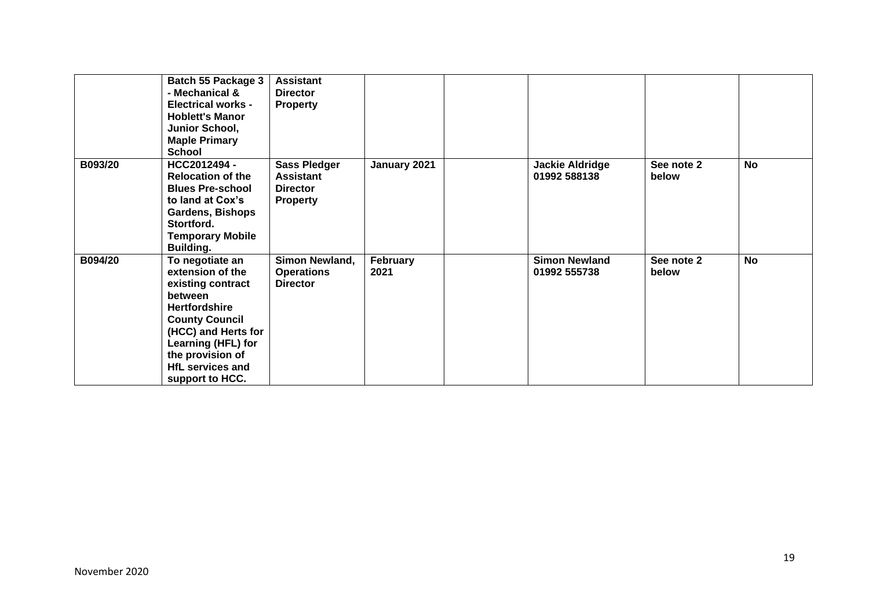|         | Batch 55 Package 3<br>- Mechanical &<br><b>Electrical works -</b><br><b>Hoblett's Manor</b><br>Junior School,<br><b>Maple Primary</b><br><b>School</b>                                                                              | <b>Assistant</b><br><b>Director</b><br><b>Property</b>                        |                  |                                        |                     |           |
|---------|-------------------------------------------------------------------------------------------------------------------------------------------------------------------------------------------------------------------------------------|-------------------------------------------------------------------------------|------------------|----------------------------------------|---------------------|-----------|
| B093/20 | HCC2012494 -<br><b>Relocation of the</b><br><b>Blues Pre-school</b><br>to land at Cox's<br><b>Gardens, Bishops</b><br>Stortford.<br><b>Temporary Mobile</b><br><b>Building.</b>                                                     | <b>Sass Pledger</b><br><b>Assistant</b><br><b>Director</b><br><b>Property</b> | January 2021     | <b>Jackie Aldridge</b><br>01992 588138 | See note 2<br>below | <b>No</b> |
| B094/20 | To negotiate an<br>extension of the<br>existing contract<br>between<br><b>Hertfordshire</b><br><b>County Council</b><br>(HCC) and Herts for<br>Learning (HFL) for<br>the provision of<br><b>HfL services and</b><br>support to HCC. | Simon Newland,<br><b>Operations</b><br><b>Director</b>                        | February<br>2021 | <b>Simon Newland</b><br>01992 555738   | See note 2<br>below | <b>No</b> |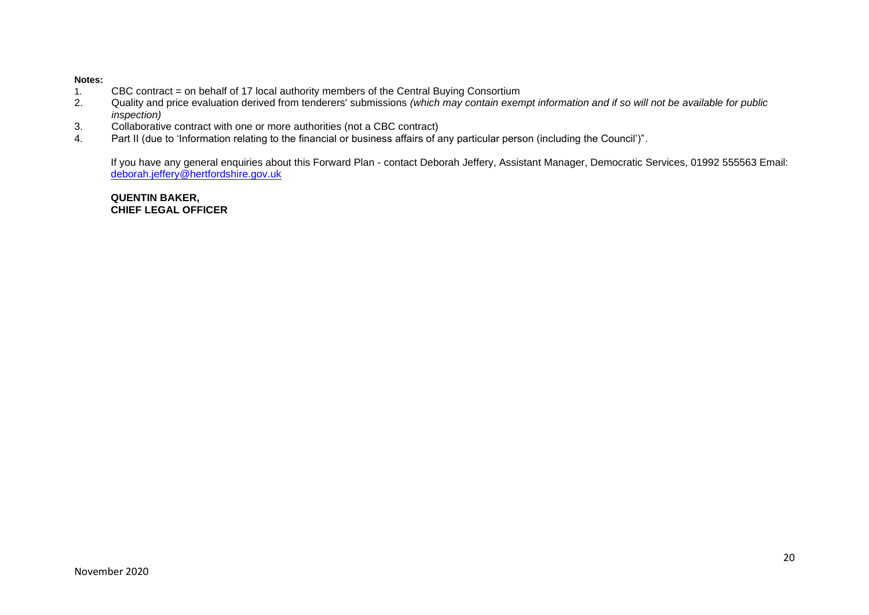#### **Notes:**

- 1. CBC contract = on behalf of 17 local authority members of the Central Buying Consortium<br>2. Quality and price evaluation derived from tenderers' submissions (which may contain exer
- 2. Quality and price evaluation derived from tenderers' submissions *(which may contain exempt information and if so will not be available for public inspection)*
- 3. Collaborative contract with one or more authorities (not a CBC contract)
- 4. Part II (due to 'Information relating to the financial or business affairs of any particular person (including the Council')".

If you have any general enquiries about this Forward Plan - contact Deborah Jeffery, Assistant Manager, Democratic Services, 01992 555563 Email: [deborah.jeffery@hertfordshire.gov.uk](mailto:deborah.jeffery@hertfordshire.gov.uk) 

**QUENTIN BAKER, CHIEF LEGAL OFFICER**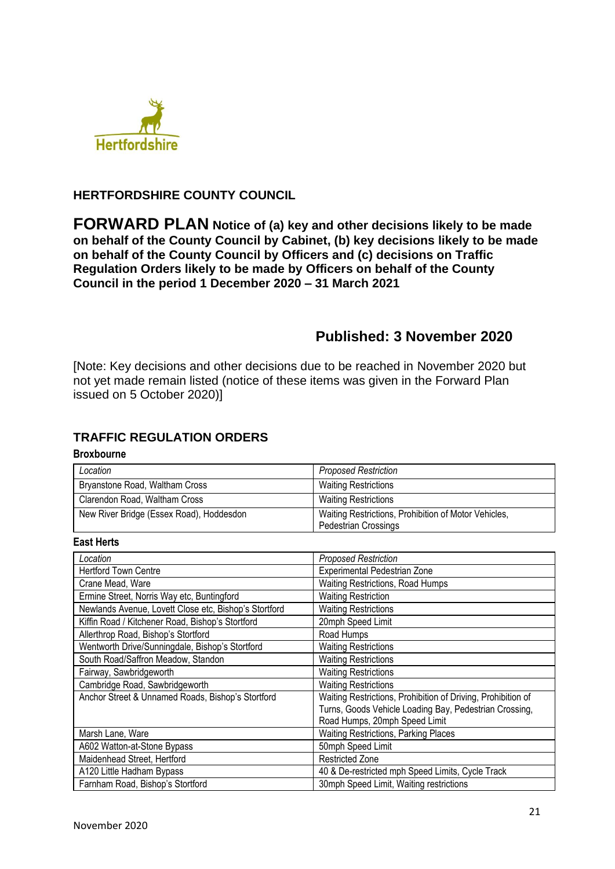

## **HERTFORDSHIRE COUNTY COUNCIL**

**FORWARD PLAN Notice of (a) key and other decisions likely to be made on behalf of the County Council by Cabinet, (b) key decisions likely to be made on behalf of the County Council by Officers and (c) decisions on Traffic Regulation Orders likely to be made by Officers on behalf of the County Council in the period 1 December 2020 – 31 March 2021**

## **Published: 3 November 2020**

[Note: Key decisions and other decisions due to be reached in November 2020 but not yet made remain listed (notice of these items was given in the Forward Plan issued on 5 October 2020)]

## **TRAFFIC REGULATION ORDERS**

#### **Broxbourne**

| Location                                 | <b>Proposed Restriction</b>                                                         |
|------------------------------------------|-------------------------------------------------------------------------------------|
| Bryanstone Road, Waltham Cross           | <b>Waiting Restrictions</b>                                                         |
| Clarendon Road, Waltham Cross            | <b>Waiting Restrictions</b>                                                         |
| New River Bridge (Essex Road), Hoddesdon | Waiting Restrictions, Prohibition of Motor Vehicles,<br><b>Pedestrian Crossings</b> |

#### **East Herts**

| Location                                              | <b>Proposed Restriction</b>                                  |
|-------------------------------------------------------|--------------------------------------------------------------|
| <b>Hertford Town Centre</b>                           | Experimental Pedestrian Zone                                 |
| Crane Mead, Ware                                      | Waiting Restrictions, Road Humps                             |
| Ermine Street, Norris Way etc, Buntingford            | <b>Waiting Restriction</b>                                   |
| Newlands Avenue, Lovett Close etc, Bishop's Stortford | <b>Waiting Restrictions</b>                                  |
| Kiffin Road / Kitchener Road, Bishop's Stortford      | 20mph Speed Limit                                            |
| Allerthrop Road, Bishop's Stortford                   | Road Humps                                                   |
| Wentworth Drive/Sunningdale, Bishop's Stortford       | <b>Waiting Restrictions</b>                                  |
| South Road/Saffron Meadow, Standon                    | <b>Waiting Restrictions</b>                                  |
| Fairway, Sawbridgeworth                               | <b>Waiting Restrictions</b>                                  |
| Cambridge Road, Sawbridgeworth                        | <b>Waiting Restrictions</b>                                  |
| Anchor Street & Unnamed Roads, Bishop's Stortford     | Waiting Restrictions, Prohibition of Driving, Prohibition of |
|                                                       | Turns, Goods Vehicle Loading Bay, Pedestrian Crossing,       |
|                                                       | Road Humps, 20mph Speed Limit                                |
| Marsh Lane, Ware                                      | <b>Waiting Restrictions, Parking Places</b>                  |
| A602 Watton-at-Stone Bypass                           | 50mph Speed Limit                                            |
| Maidenhead Street, Hertford                           | <b>Restricted Zone</b>                                       |
| A120 Little Hadham Bypass                             | 40 & De-restricted mph Speed Limits, Cycle Track             |
| Farnham Road, Bishop's Stortford                      | 30mph Speed Limit, Waiting restrictions                      |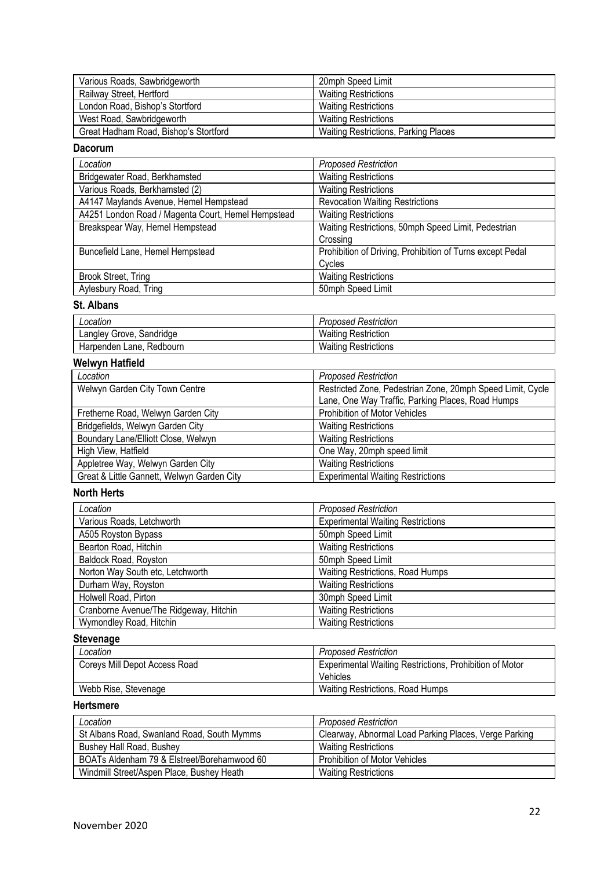| Various Roads, Sawbridgeworth         | 20mph Speed Limit                           |
|---------------------------------------|---------------------------------------------|
| Railway Street, Hertford              | <b>Waiting Restrictions</b>                 |
| London Road, Bishop's Stortford       | <b>Waiting Restrictions</b>                 |
| West Road, Sawbridgeworth             | <b>Waiting Restrictions</b>                 |
| Great Hadham Road, Bishop's Stortford | <b>Waiting Restrictions, Parking Places</b> |

## **Dacorum**

| Location                                           | <b>Proposed Restriction</b>                               |
|----------------------------------------------------|-----------------------------------------------------------|
| Bridgewater Road, Berkhamsted                      | <b>Waiting Restrictions</b>                               |
| Various Roads, Berkhamsted (2)                     | <b>Waiting Restrictions</b>                               |
| A4147 Maylands Avenue, Hemel Hempstead             | <b>Revocation Waiting Restrictions</b>                    |
| A4251 London Road / Magenta Court, Hemel Hempstead | <b>Waiting Restrictions</b>                               |
| Breakspear Way, Hemel Hempstead                    | Waiting Restrictions, 50mph Speed Limit, Pedestrian       |
|                                                    | Crossing                                                  |
| Buncefield Lane, Hemel Hempstead                   | Prohibition of Driving, Prohibition of Turns except Pedal |
|                                                    | Cycles                                                    |
| Brook Street, Tring                                | <b>Waiting Restrictions</b>                               |
| Aylesbury Road, Tring                              | 50mph Speed Limit                                         |

## **St. Albans**

| Location                       | ↑ Restriction<br>Proposed |
|--------------------------------|---------------------------|
| ∟angley<br>Grove.<br>Sandridge | Waiting<br>⊦ Restriction  |
| Redbourn<br>Harpenden Lane,    | Waiting<br>⊹ Restrictions |

## **Welwyn Hatfield**

| Location                                   | <b>Proposed Restriction</b>                                |
|--------------------------------------------|------------------------------------------------------------|
| Welwyn Garden City Town Centre             | Restricted Zone, Pedestrian Zone, 20mph Speed Limit, Cycle |
|                                            | Lane, One Way Traffic, Parking Places, Road Humps          |
| Fretherne Road, Welwyn Garden City         | Prohibition of Motor Vehicles                              |
| Bridgefields, Welwyn Garden City           | <b>Waiting Restrictions</b>                                |
| Boundary Lane/Elliott Close, Welwyn        | <b>Waiting Restrictions</b>                                |
| High View, Hatfield                        | One Way, 20mph speed limit                                 |
| Appletree Way, Welwyn Garden City          | <b>Waiting Restrictions</b>                                |
| Great & Little Gannett, Welwyn Garden City | <b>Experimental Waiting Restrictions</b>                   |

## **North Herts**

| Location                               | <b>Proposed Restriction</b>              |
|----------------------------------------|------------------------------------------|
| Various Roads, Letchworth              | <b>Experimental Waiting Restrictions</b> |
| A505 Royston Bypass                    | 50mph Speed Limit                        |
| Bearton Road, Hitchin                  | <b>Waiting Restrictions</b>              |
| Baldock Road, Royston                  | 50mph Speed Limit                        |
| Norton Way South etc, Letchworth       | Waiting Restrictions, Road Humps         |
| Durham Way, Royston                    | <b>Waiting Restrictions</b>              |
| Holwell Road, Pirton                   | 30mph Speed Limit                        |
| Cranborne Avenue/The Ridgeway, Hitchin | <b>Waiting Restrictions</b>              |
| Wymondley Road, Hitchin                | <b>Waiting Restrictions</b>              |

## **Stevenage**

| Location                      | <b>Proposed Restriction</b>                                    |
|-------------------------------|----------------------------------------------------------------|
| Coreys Mill Depot Access Road | <b>Experimental Waiting Restrictions, Prohibition of Motor</b> |
|                               | Vehicles                                                       |
| Webb Rise, Stevenage          | Waiting Restrictions, Road Humps                               |

## **Hertsmere**

| Location                                    | <b>Proposed Restriction</b>                           |
|---------------------------------------------|-------------------------------------------------------|
| St Albans Road, Swanland Road, South Mymms  | Clearway, Abnormal Load Parking Places, Verge Parking |
| Bushey Hall Road, Bushey                    | <b>Waiting Restrictions</b>                           |
| BOATs Aldenham 79 & Elstreet/Borehamwood 60 | Prohibition of Motor Vehicles                         |
| Windmill Street/Aspen Place, Bushey Heath   | <b>Waiting Restrictions</b>                           |